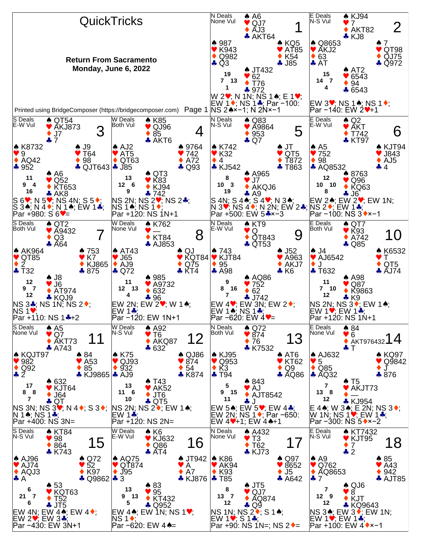